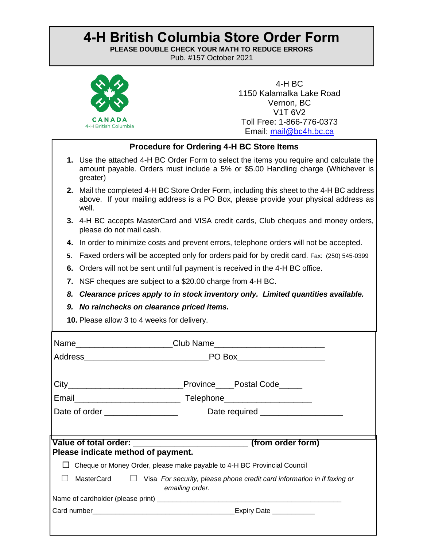## **4-H British Columbia Store Order Form**

**PLEASE DOUBLE CHECK YOUR MATH TO REDUCE ERRORS**

**Pub. #157 October 2021** 



4-H BC 1150 Kalamalka Lake Road Vernon, BC V1T 6V2 Toll Free: 1-866-776-0373 Email: [mail@bc4h.bc.ca](mailto:mail@bc4h.bc.ca)

## **Procedure for Ordering 4-H BC Store Items**

- **1.** Use the attached 4-H BC Order Form to select the items you require and calculate the amount payable. Orders must include a 5% or \$5.00 Handling charge (Whichever is greater)
- **2.** Mail the completed 4-H BC Store Order Form, including this sheet to the 4-H BC address above. If your mailing address is a PO Box, please provide your physical address as well.
- **3.** 4-H BC accepts MasterCard and VISA credit cards, Club cheques and money orders, please do not mail cash.
- **4.** In order to minimize costs and prevent errors, telephone orders will not be accepted.
- **5.** Faxed orders will be accepted only for orders paid for by credit card. Fax: (250) 545-0399
- **6.** Orders will not be sent until full payment is received in the 4-H BC office.
- **7.** NSF cheques are subject to a \$20.00 charge from 4-H BC.
- *8. Clearance prices apply to in stock inventory only. Limited quantities available.*
- *9. No rainchecks on clearance priced items.*
- **10.** Please allow 3 to 4 weeks for delivery.

|                                     | Province____Postal Code_____                                                                      |  |  |
|-------------------------------------|---------------------------------------------------------------------------------------------------|--|--|
| Date of order _____________________ | Date required _____________________                                                               |  |  |
|                                     |                                                                                                   |  |  |
| Please indicate method of payment.  |                                                                                                   |  |  |
|                                     | Cheque or Money Order, please make payable to 4-H BC Provincial Council                           |  |  |
| MasterCard                          | $\Box$ Visa For security, please phone credit card information in if faxing or<br>emailing order. |  |  |
|                                     |                                                                                                   |  |  |
|                                     |                                                                                                   |  |  |
|                                     |                                                                                                   |  |  |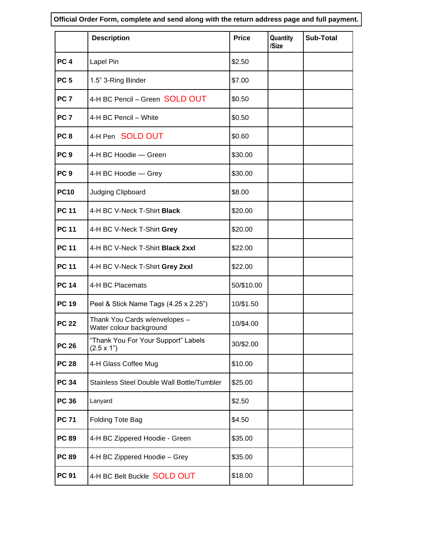**Official Order Form, complete and send along with the return address page and full payment.**

|                 | <b>Description</b>                                       | <b>Price</b> | Quantity<br>/Size | <b>Sub-Total</b> |
|-----------------|----------------------------------------------------------|--------------|-------------------|------------------|
| PC <sub>4</sub> | Lapel Pin                                                | \$2.50       |                   |                  |
| PC <sub>5</sub> | 1.5" 3-Ring Binder                                       | \$7.00       |                   |                  |
| PC <sub>7</sub> | 4-H BC Pencil - Green SOLD OUT                           | \$0.50       |                   |                  |
| PC <sub>7</sub> | 4-H BC Pencil - White                                    | \$0.50       |                   |                  |
| PC <sub>8</sub> | 4-H Pen SOLD OUT                                         | \$0.60       |                   |                  |
| PC <sub>9</sub> | 4-H BC Hoodie - Green                                    | \$30.00      |                   |                  |
| PC <sub>9</sub> | 4-H BC Hoodie - Grey                                     | \$30.00      |                   |                  |
| <b>PC10</b>     | Judging Clipboard                                        | \$8.00       |                   |                  |
| <b>PC 11</b>    | 4-H BC V-Neck T-Shirt Black                              | \$20.00      |                   |                  |
| <b>PC 11</b>    | 4-H BC V-Neck T-Shirt Grey                               | \$20.00      |                   |                  |
| <b>PC 11</b>    | 4-H BC V-Neck T-Shirt Black 2xxl                         | \$22.00      |                   |                  |
| <b>PC 11</b>    | 4-H BC V-Neck T-Shirt Grey 2xxl                          | \$22.00      |                   |                  |
| <b>PC 14</b>    | 4-H BC Placemats                                         | 50/\$10.00   |                   |                  |
| <b>PC 19</b>    | Peel & Stick Name Tags (4.25 x 2.25")                    | 10/\$1.50    |                   |                  |
| <b>PC 22</b>    | Thank You Cards w/envelopes -<br>Water colour background | 10/\$4.00    |                   |                  |
| <b>PC 26</b>    | "Thank You For Your Support" Labels<br>$(2.5 \times 1)$  | 30/\$2.00    |                   |                  |
| <b>PC 28</b>    | 4-H Glass Coffee Mug                                     | \$10.00      |                   |                  |
| <b>PC 34</b>    | Stainless Steel Double Wall Bottle/Tumbler               | \$25.00      |                   |                  |
| <b>PC 36</b>    | Lanyard                                                  | \$2.50       |                   |                  |
| <b>PC 71</b>    | Folding Tote Bag                                         | \$4.50       |                   |                  |
| <b>PC 89</b>    | 4-H BC Zippered Hoodie - Green                           | \$35.00      |                   |                  |
| <b>PC 89</b>    | 4-H BC Zippered Hoodie - Grey                            | \$35.00      |                   |                  |
| <b>PC 91</b>    | 4-H BC Belt Buckle SOLD OUT                              | \$18.00      |                   |                  |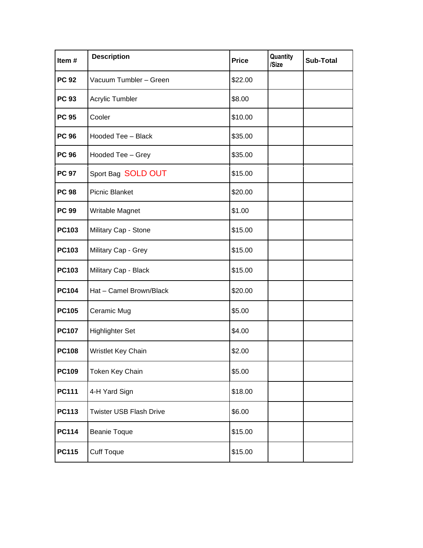| Item#        | <b>Description</b>             | <b>Price</b> | Quantity<br>/Size | <b>Sub-Total</b> |
|--------------|--------------------------------|--------------|-------------------|------------------|
| <b>PC 92</b> | Vacuum Tumbler - Green         | \$22.00      |                   |                  |
| <b>PC 93</b> | Acrylic Tumbler                | \$8.00       |                   |                  |
| <b>PC 95</b> | Cooler                         | \$10.00      |                   |                  |
| <b>PC 96</b> | Hooded Tee - Black             | \$35.00      |                   |                  |
| <b>PC 96</b> | Hooded Tee - Grey              | \$35.00      |                   |                  |
| <b>PC 97</b> | Sport Bag SOLD OUT             | \$15.00      |                   |                  |
| <b>PC 98</b> | <b>Picnic Blanket</b>          | \$20.00      |                   |                  |
| <b>PC 99</b> | Writable Magnet                | \$1.00       |                   |                  |
| <b>PC103</b> | Military Cap - Stone           | \$15.00      |                   |                  |
| <b>PC103</b> | Military Cap - Grey            | \$15.00      |                   |                  |
| <b>PC103</b> | Military Cap - Black           | \$15.00      |                   |                  |
| <b>PC104</b> | Hat - Camel Brown/Black        | \$20.00      |                   |                  |
| <b>PC105</b> | Ceramic Mug                    | \$5.00       |                   |                  |
| <b>PC107</b> | <b>Highlighter Set</b>         | \$4.00       |                   |                  |
| <b>PC108</b> | Wristlet Key Chain             | \$2.00       |                   |                  |
| <b>PC109</b> | Token Key Chain                | \$5.00       |                   |                  |
| <b>PC111</b> | 4-H Yard Sign                  | \$18.00      |                   |                  |
| <b>PC113</b> | <b>Twister USB Flash Drive</b> | \$6.00       |                   |                  |
| <b>PC114</b> | <b>Beanie Toque</b>            | \$15.00      |                   |                  |
| <b>PC115</b> | <b>Cuff Toque</b>              | \$15.00      |                   |                  |